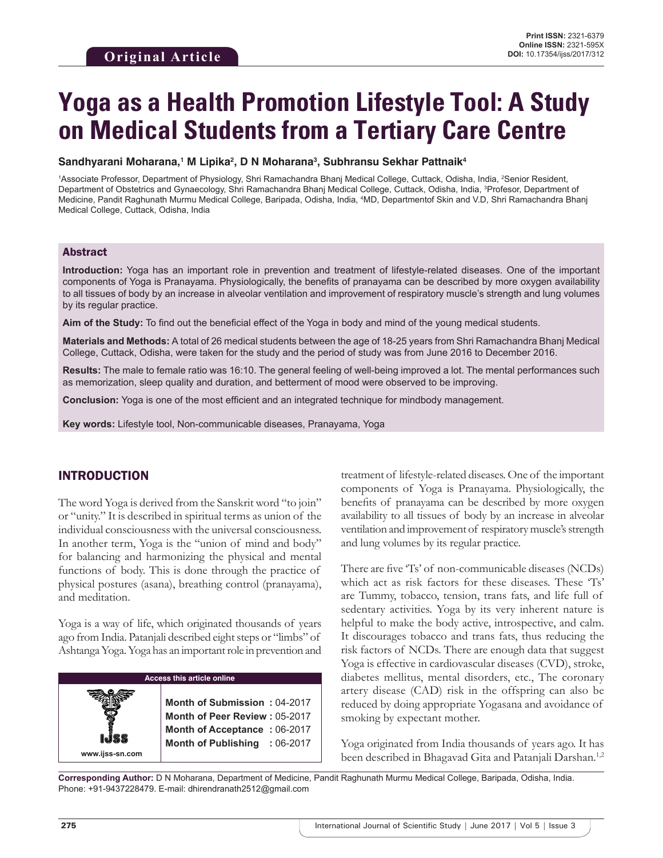# **Yoga as a Health Promotion Lifestyle Tool: A Study on Medical Students from a Tertiary Care Centre**

#### **Sandhyarani Moharana,1 M Lipika2 , D N Moharana3 , Subhransu Sekhar Pattnaik4**

1Associate Professor, Department of Physiology, Shri Ramachandra Bhanj Medical College, Cuttack, Odisha, India, 2Senior Resident, Department of Obstetrics and Gynaecology, Shri Ramachandra Bhanj Medical College, Cuttack, Odisha, India, <sup>3</sup>Profesor, Department of Medicine, Pandit Raghunath Murmu Medical College, Baripada, Odisha, India, 4 MD, Departmentof Skin and V.D, Shri Ramachandra Bhanj Medical College, Cuttack, Odisha, India

#### Abstract

**Introduction:** Yoga has an important role in prevention and treatment of lifestyle-related diseases. One of the important components of Yoga is Pranayama. Physiologically, the benefits of pranayama can be described by more oxygen availability to all tissues of body by an increase in alveolar ventilation and improvement of respiratory muscle's strength and lung volumes by its regular practice.

**Aim of the Study:** To find out the beneficial effect of the Yoga in body and mind of the young medical students.

**Materials and Methods:** A total of 26 medical students between the age of 18-25 years from Shri Ramachandra Bhanj Medical College, Cuttack, Odisha, were taken for the study and the period of study was from June 2016 to December 2016.

**Results:** The male to female ratio was 16:10. The general feeling of well-being improved a lot. The mental performances such as memorization, sleep quality and duration, and betterment of mood were observed to be improving.

**Conclusion:** Yoga is one of the most efficient and an integrated technique for mindbody management.

**Key words:** Lifestyle tool, Non-communicable diseases, Pranayama, Yoga

## INTRODUCTION

The word Yoga is derived from the Sanskrit word "to join" or "unity." It is described in spiritual terms as union of the individual consciousness with the universal consciousness. In another term, Yoga is the "union of mind and body" for balancing and harmonizing the physical and mental functions of body. This is done through the practice of physical postures (asana), breathing control (pranayama), and meditation.

Yoga is a way of life, which originated thousands of years ago from India. Patanjali described eight steps or "limbs" of Ashtanga Yoga. Yoga has an important role in prevention and

# **Access this article online**

**Month of Submission :** 04-2017 **Month of Peer Review :** 05-2017 **Month of Acceptance :** 06-2017 **Month of Publishing :** 06-2017 treatment of lifestyle-related diseases. One of the important components of Yoga is Pranayama. Physiologically, the benefits of pranayama can be described by more oxygen availability to all tissues of body by an increase in alveolar ventilation and improvement of respiratory muscle's strength and lung volumes by its regular practice.

There are five 'Ts' of non-communicable diseases (NCDs) which act as risk factors for these diseases. These 'Ts' are Tummy, tobacco, tension, trans fats, and life full of sedentary activities. Yoga by its very inherent nature is helpful to make the body active, introspective, and calm. It discourages tobacco and trans fats, thus reducing the risk factors of NCDs. There are enough data that suggest Yoga is effective in cardiovascular diseases (CVD), stroke, diabetes mellitus, mental disorders, etc., The coronary artery disease (CAD) risk in the offspring can also be reduced by doing appropriate Yogasana and avoidance of smoking by expectant mother.

Yoga originated from India thousands of years ago. It has been described in Bhagavad Gita and Patanjali Darshan.<sup>1,2</sup>

**Corresponding Author:** D N Moharana, Department of Medicine, Pandit Raghunath Murmu Medical College, Baripada, Odisha, India. Phone: +91-9437228479. E-mail: dhirendranath2512@gmail.com

**www.ijss-sn.com**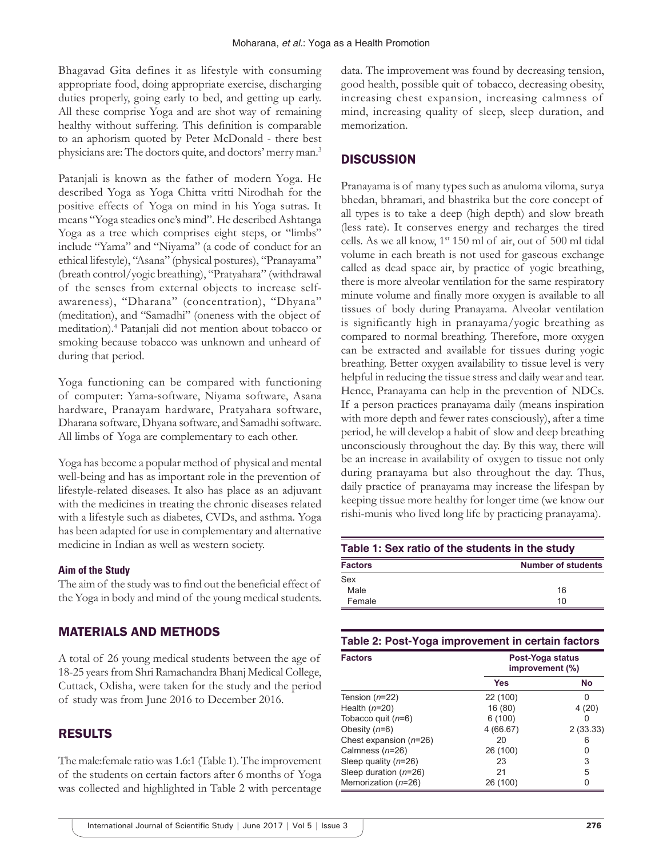Bhagavad Gita defines it as lifestyle with consuming appropriate food, doing appropriate exercise, discharging duties properly, going early to bed, and getting up early. All these comprise Yoga and are shot way of remaining healthy without suffering. This definition is comparable to an aphorism quoted by Peter McDonald - there best physicians are: The doctors quite, and doctors' merry man.3

Patanjali is known as the father of modern Yoga. He described Yoga as Yoga Chitta vritti Nirodhah for the positive effects of Yoga on mind in his Yoga sutras. It means "Yoga steadies one's mind". He described Ashtanga Yoga as a tree which comprises eight steps, or "limbs" include "Yama" and "Niyama" (a code of conduct for an ethical lifestyle), "Asana" (physical postures), "Pranayama" (breath control/yogic breathing), "Pratyahara" (withdrawal of the senses from external objects to increase selfawareness), "Dharana" (concentration), "Dhyana" (meditation), and "Samadhi" (oneness with the object of meditation).<sup>4</sup> Patanjali did not mention about tobacco or smoking because tobacco was unknown and unheard of during that period.

Yoga functioning can be compared with functioning of computer: Yama-software, Niyama software, Asana hardware, Pranayam hardware, Pratyahara software, Dharana software, Dhyana software, and Samadhi software. All limbs of Yoga are complementary to each other.

Yoga has become a popular method of physical and mental well-being and has as important role in the prevention of lifestyle-related diseases. It also has place as an adjuvant with the medicines in treating the chronic diseases related with a lifestyle such as diabetes, CVDs, and asthma. Yoga has been adapted for use in complementary and alternative medicine in Indian as well as western society.

#### **Aim of the Study**

The aim of the study was to find out the beneficial effect of the Yoga in body and mind of the young medical students.

## MATERIALS AND METHODS

A total of 26 young medical students between the age of 18-25 years from Shri Ramachandra Bhanj Medical College, Cuttack, Odisha, were taken for the study and the period of study was from June 2016 to December 2016.

## RESULTS

The male:female ratio was 1.6:1 (Table 1). The improvement of the students on certain factors after 6 months of Yoga was collected and highlighted in Table 2 with percentage data. The improvement was found by decreasing tension, good health, possible quit of tobacco, decreasing obesity, increasing chest expansion, increasing calmness of mind, increasing quality of sleep, sleep duration, and memorization.

# **DISCUSSION**

Pranayama is of many types such as anuloma viloma, surya bhedan, bhramari, and bhastrika but the core concept of all types is to take a deep (high depth) and slow breath (less rate). It conserves energy and recharges the tired cells. As we all know, 1st 150 ml of air, out of 500 ml tidal volume in each breath is not used for gaseous exchange called as dead space air, by practice of yogic breathing, there is more alveolar ventilation for the same respiratory minute volume and finally more oxygen is available to all tissues of body during Pranayama. Alveolar ventilation is significantly high in pranayama/yogic breathing as compared to normal breathing. Therefore, more oxygen can be extracted and available for tissues during yogic breathing. Better oxygen availability to tissue level is very helpful in reducing the tissue stress and daily wear and tear. Hence, Pranayama can help in the prevention of NDCs. If a person practices pranayama daily (means inspiration with more depth and fewer rates consciously), after a time period, he will develop a habit of slow and deep breathing unconsciously throughout the day. By this way, there will be an increase in availability of oxygen to tissue not only during pranayama but also throughout the day. Thus, daily practice of pranayama may increase the lifespan by keeping tissue more healthy for longer time (we know our rishi-munis who lived long life by practicing pranayama).

| Table 1: Sex ratio of the students in the study |                           |  |
|-------------------------------------------------|---------------------------|--|
| <b>Factors</b>                                  | <b>Number of students</b> |  |
| Sex                                             |                           |  |
| <b>Male</b>                                     | 16                        |  |
| Female                                          | 10                        |  |

| Table 2: Post-Yoga improvement in certain factors |                                     |          |  |
|---------------------------------------------------|-------------------------------------|----------|--|
| <b>Factors</b>                                    | Post-Yoga status<br>improvement (%) |          |  |
|                                                   | Yes                                 | No       |  |
| Tension $(n=22)$                                  | 22 (100)                            | U        |  |
| Health $(n=20)$                                   | 16 (80)                             | 4(20)    |  |
| Tobacco quit $(n=6)$                              | 6(100)                              | 0        |  |
| Obesity $(n=6)$                                   | 4 (66.67)                           | 2(33.33) |  |
| Chest expansion $(n=26)$                          | 20                                  | 6        |  |
| Calmness $(n=26)$                                 | 26 (100)                            | O        |  |
| Sleep quality $(n=26)$                            | 23                                  | 3        |  |
| Sleep duration $(n=26)$                           | 21                                  | 5        |  |
| Memorization $(n=26)$                             | 26 (100)                            | 0        |  |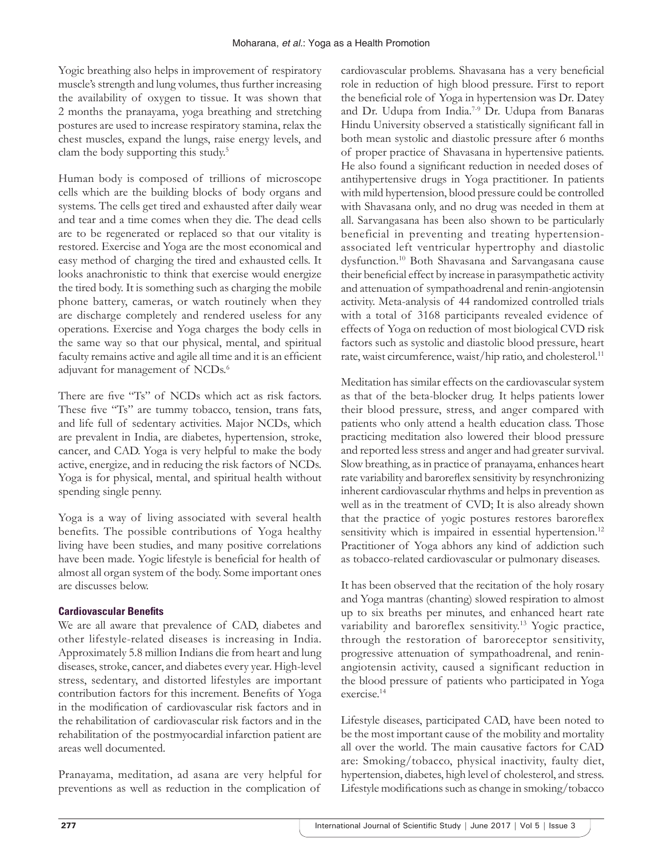Yogic breathing also helps in improvement of respiratory muscle's strength and lung volumes, thus further increasing the availability of oxygen to tissue. It was shown that 2 months the pranayama, yoga breathing and stretching postures are used to increase respiratory stamina, relax the chest muscles, expand the lungs, raise energy levels, and clam the body supporting this study.<sup>5</sup>

Human body is composed of trillions of microscope cells which are the building blocks of body organs and systems. The cells get tired and exhausted after daily wear and tear and a time comes when they die. The dead cells are to be regenerated or replaced so that our vitality is restored. Exercise and Yoga are the most economical and easy method of charging the tired and exhausted cells. It looks anachronistic to think that exercise would energize the tired body. It is something such as charging the mobile phone battery, cameras, or watch routinely when they are discharge completely and rendered useless for any operations. Exercise and Yoga charges the body cells in the same way so that our physical, mental, and spiritual faculty remains active and agile all time and it is an efficient adjuvant for management of NCDs.<sup>6</sup>

There are five "Ts" of NCDs which act as risk factors. These five "Ts" are tummy tobacco, tension, trans fats, and life full of sedentary activities. Major NCDs, which are prevalent in India, are diabetes, hypertension, stroke, cancer, and CAD. Yoga is very helpful to make the body active, energize, and in reducing the risk factors of NCDs. Yoga is for physical, mental, and spiritual health without spending single penny.

Yoga is a way of living associated with several health benefits. The possible contributions of Yoga healthy living have been studies, and many positive correlations have been made. Yogic lifestyle is beneficial for health of almost all organ system of the body. Some important ones are discusses below.

# **Cardiovascular Benefits**

We are all aware that prevalence of CAD, diabetes and other lifestyle-related diseases is increasing in India. Approximately 5.8 million Indians die from heart and lung diseases, stroke, cancer, and diabetes every year. High-level stress, sedentary, and distorted lifestyles are important contribution factors for this increment. Benefits of Yoga in the modification of cardiovascular risk factors and in the rehabilitation of cardiovascular risk factors and in the rehabilitation of the postmyocardial infarction patient are areas well documented.

Pranayama, meditation, ad asana are very helpful for preventions as well as reduction in the complication of cardiovascular problems. Shavasana has a very beneficial role in reduction of high blood pressure. First to report the beneficial role of Yoga in hypertension was Dr. Datey and Dr. Udupa from India.7-9 Dr. Udupa from Banaras Hindu University observed a statistically significant fall in both mean systolic and diastolic pressure after 6 months of proper practice of Shavasana in hypertensive patients. He also found a significant reduction in needed doses of antihypertensive drugs in Yoga practitioner. In patients with mild hypertension, blood pressure could be controlled with Shavasana only, and no drug was needed in them at all. Sarvangasana has been also shown to be particularly beneficial in preventing and treating hypertensionassociated left ventricular hypertrophy and diastolic dysfunction.10 Both Shavasana and Sarvangasana cause their beneficial effect by increase in parasympathetic activity and attenuation of sympathoadrenal and renin-angiotensin activity. Meta-analysis of 44 randomized controlled trials with a total of 3168 participants revealed evidence of effects of Yoga on reduction of most biological CVD risk factors such as systolic and diastolic blood pressure, heart rate, waist circumference, waist/hip ratio, and cholesterol.<sup>11</sup>

Meditation has similar effects on the cardiovascular system as that of the beta-blocker drug. It helps patients lower their blood pressure, stress, and anger compared with patients who only attend a health education class. Those practicing meditation also lowered their blood pressure and reported less stress and anger and had greater survival. Slow breathing, as in practice of pranayama, enhances heart rate variability and baroreflex sensitivity by resynchronizing inherent cardiovascular rhythms and helps in prevention as well as in the treatment of CVD; It is also already shown that the practice of yogic postures restores baroreflex sensitivity which is impaired in essential hypertension.<sup>12</sup> Practitioner of Yoga abhors any kind of addiction such as tobacco-related cardiovascular or pulmonary diseases.

It has been observed that the recitation of the holy rosary and Yoga mantras (chanting) slowed respiration to almost up to six breaths per minutes, and enhanced heart rate variability and baroreflex sensitivity.<sup>13</sup> Yogic practice, through the restoration of baroreceptor sensitivity, progressive attenuation of sympathoadrenal, and reninangiotensin activity, caused a significant reduction in the blood pressure of patients who participated in Yoga exercise.<sup>14</sup>

Lifestyle diseases, participated CAD, have been noted to be the most important cause of the mobility and mortality all over the world. The main causative factors for CAD are: Smoking/tobacco, physical inactivity, faulty diet, hypertension, diabetes, high level of cholesterol, and stress. Lifestyle modifications such as change in smoking/tobacco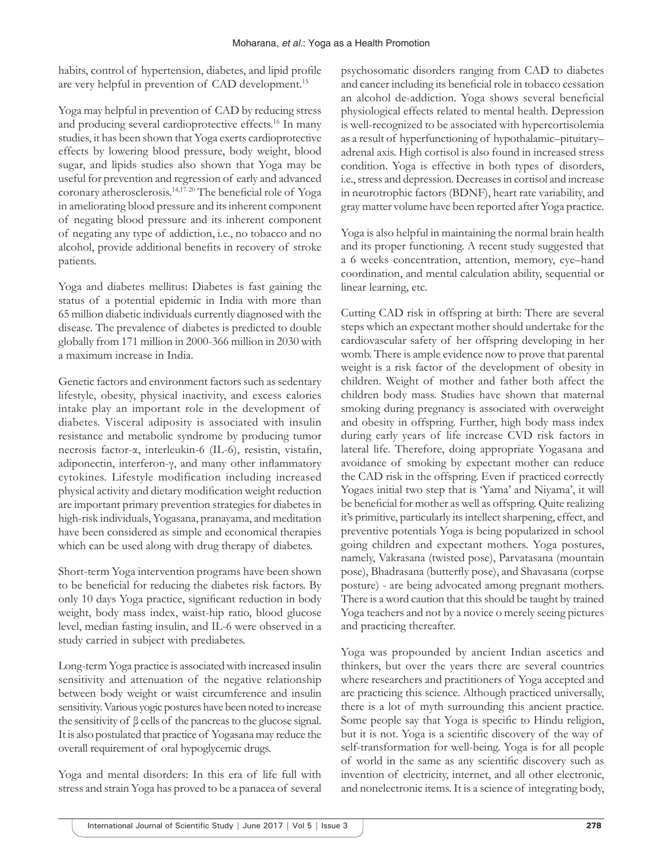habits, control of hypertension, diabetes, and lipid profile are very helpful in prevention of CAD development.<sup>15</sup>

Yoga may helpful in prevention of CAD by reducing stress and producing several cardioprotective effects.<sup>16</sup> In many studies, it has been shown that Yoga exerts cardioprotective effects by lowering blood pressure, body weight, blood sugar, and lipids studies also shown that Yoga may be useful for prevention and regression of early and advanced coronary atherosclerosis.14,17-20 The beneficial role of Yoga in ameliorating blood pressure and its inherent component of negating blood pressure and its inherent component of negating any type of addiction, i.e., no tobacco and no alcohol, provide additional benefits in recovery of stroke patients.

Yoga and diabetes mellitus: Diabetes is fast gaining the status of a potential epidemic in India with more than 65 million diabetic individuals currently diagnosed with the disease. The prevalence of diabetes is predicted to double globally from 171 million in 2000-366 million in 2030 with a maximum increase in India.

Genetic factors and environment factors such as sedentary lifestyle, obesity, physical inactivity, and excess calories intake play an important role in the development of diabetes. Visceral adiposity is associated with insulin resistance and metabolic syndrome by producing tumor necrosis factor-α, interleukin-6 (IL-6), resistin, vistafin, adiponectin, interferon-γ, and many other inflammatory cytokines. Lifestyle modification including increased physical activity and dietary modification weight reduction are important primary prevention strategies for diabetes in high-risk individuals, Yogasana, pranayama, and meditation have been considered as simple and economical therapies which can be used along with drug therapy of diabetes.

Short-term Yoga intervention programs have been shown to be beneficial for reducing the diabetes risk factors. By only 10 days Yoga practice, significant reduction in body weight, body mass index, waist-hip ratio, blood glucose level, median fasting insulin, and IL-6 were observed in a study carried in subject with prediabetes.

Long-term Yoga practice is associated with increased insulin sensitivity and attenuation of the negative relationship between body weight or waist circumference and insulin sensitivity. Various yogic postures have been noted to increase the sensitivity of β cells of the pancreas to the glucose signal. It is also postulated that practice of Yogasana may reduce the overall requirement of oral hypoglycemic drugs.

Yoga and mental disorders: In this era of life full with stress and strain Yoga has proved to be a panacea of several psychosomatic disorders ranging from CAD to diabetes and cancer including its beneficial role in tobacco cessation an alcohol de-addiction. Yoga shows several beneficial physiological effects related to mental health. Depression is well-recognized to be associated with hypercortisolemia as a result of hyperfunctioning of hypothalamic–pituitary– adrenal axis. High cortisol is also found in increased stress condition. Yoga is effective in both types of disorders, i.e.,stress and depression. Decreases in cortisol and increase in neurotrophic factors (BDNF), heart rate variability, and gray matter volume have been reported after Yoga practice.

Yoga is also helpful in maintaining the normal brain health and its proper functioning. A recent study suggested that a 6 weeks concentration, attention, memory, eye–hand coordination, and mental calculation ability, sequential or linear learning, etc.

Cutting CAD risk in offspring at birth: There are several steps which an expectant mother should undertake for the cardiovascular safety of her offspring developing in her womb. There is ample evidence now to prove that parental weight is a risk factor of the development of obesity in children. Weight of mother and father both affect the children body mass. Studies have shown that maternal smoking during pregnancy is associated with overweight and obesity in offspring. Further, high body mass index during early years of life increase CVD risk factors in lateral life. Therefore, doing appropriate Yogasana and avoidance of smoking by expectant mother can reduce the CAD risk in the offspring. Even if practiced correctly Yogaes initial two step that is 'Yama' and Niyama', it will be beneficial for mother as well as offspring. Quite realizing it's primitive, particularly its intellect sharpening, effect, and preventive potentials Yoga is being popularized in school going children and expectant mothers. Yoga postures, namely, Vakrasana (twisted pose), Parvatasana (mountain pose), Bhadrasana (butterfly pose), and Shavasana (corpse posture) - are being advocated among pregnant mothers. There is a word caution that this should be taught by trained Yoga teachers and not by a novice o merely seeing pictures and practicing thereafter.

Yoga was propounded by ancient Indian ascetics and thinkers, but over the years there are several countries where researchers and practitioners of Yoga accepted and are practicing this science. Although practiced universally, there is a lot of myth surrounding this ancient practice. Some people say that Yoga is specific to Hindu religion, but it is not. Yoga is a scientific discovery of the way of self-transformation for well-being. Yoga is for all people of world in the same as any scientific discovery such as invention of electricity, internet, and all other electronic, and nonelectronic items. It is a science of integrating body,